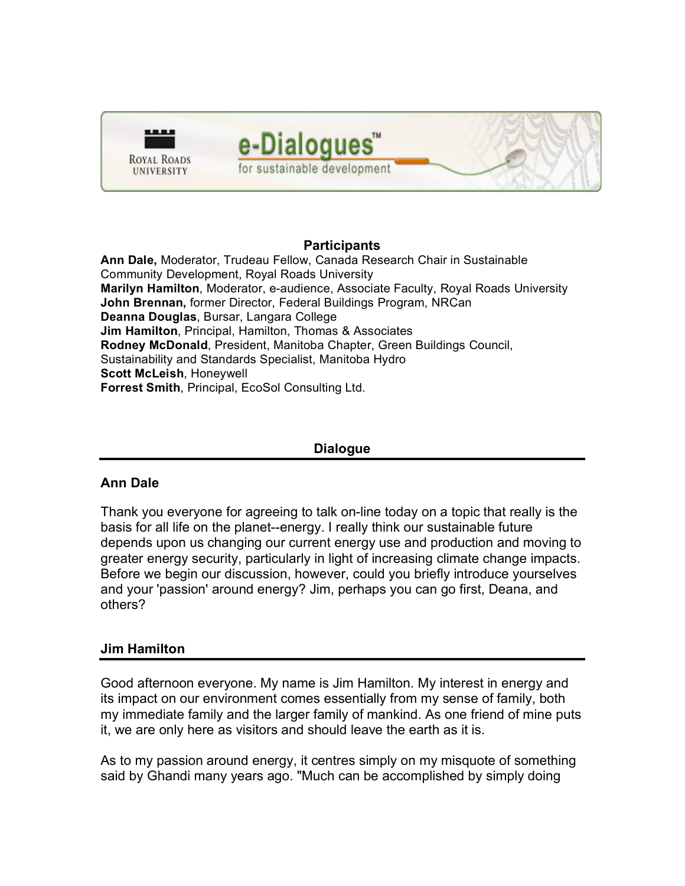

#### **Participants**

**Ann Dale,** Moderator, Trudeau Fellow, Canada Research Chair in Sustainable Community Development, Royal Roads University **Marilyn Hamilton**, Moderator, e-audience, Associate Faculty, Royal Roads University **John Brennan,** former Director, Federal Buildings Program, NRCan **Deanna Douglas**, Bursar, Langara College **Jim Hamilton**, Principal, Hamilton, Thomas & Associates **Rodney McDonald**, President, Manitoba Chapter, Green Buildings Council, Sustainability and Standards Specialist, Manitoba Hydro **Scott McLeish**, Honeywell **Forrest Smith**, Principal, EcoSol Consulting Ltd.

## **Dialogue**

#### **Ann Dale**

Thank you everyone for agreeing to talk on-line today on a topic that really is the basis for all life on the planet--energy. I really think our sustainable future depends upon us changing our current energy use and production and moving to greater energy security, particularly in light of increasing climate change impacts. Before we begin our discussion, however, could you briefly introduce yourselves and your 'passion' around energy? Jim, perhaps you can go first, Deana, and others?

#### **Jim Hamilton**

Good afternoon everyone. My name is Jim Hamilton. My interest in energy and its impact on our environment comes essentially from my sense of family, both my immediate family and the larger family of mankind. As one friend of mine puts it, we are only here as visitors and should leave the earth as it is.

As to my passion around energy, it centres simply on my misquote of something said by Ghandi many years ago. "Much can be accomplished by simply doing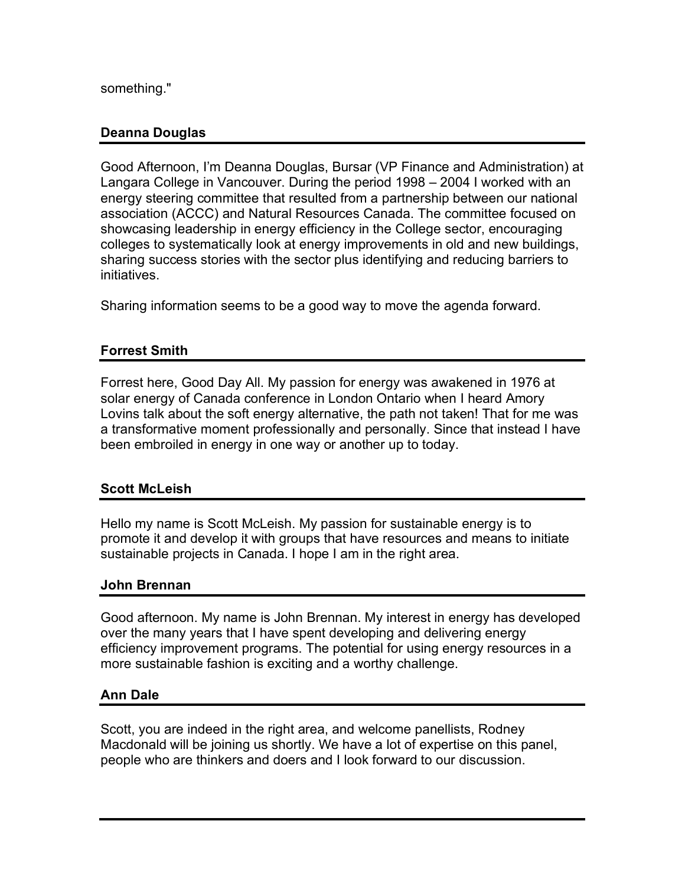something."

# **Deanna Douglas**

Good Afternoon, I'm Deanna Douglas, Bursar (VP Finance and Administration) at Langara College in Vancouver. During the period 1998 – 2004 I worked with an energy steering committee that resulted from a partnership between our national association (ACCC) and Natural Resources Canada. The committee focused on showcasing leadership in energy efficiency in the College sector, encouraging colleges to systematically look at energy improvements in old and new buildings, sharing success stories with the sector plus identifying and reducing barriers to initiatives.

Sharing information seems to be a good way to move the agenda forward.

# **Forrest Smith**

Forrest here, Good Day All. My passion for energy was awakened in 1976 at solar energy of Canada conference in London Ontario when I heard Amory Lovins talk about the soft energy alternative, the path not taken! That for me was a transformative moment professionally and personally. Since that instead I have been embroiled in energy in one way or another up to today.

## **Scott McLeish**

Hello my name is Scott McLeish. My passion for sustainable energy is to promote it and develop it with groups that have resources and means to initiate sustainable projects in Canada. I hope I am in the right area.

## **John Brennan**

Good afternoon. My name is John Brennan. My interest in energy has developed over the many years that I have spent developing and delivering energy efficiency improvement programs. The potential for using energy resources in a more sustainable fashion is exciting and a worthy challenge.

# **Ann Dale**

Scott, you are indeed in the right area, and welcome panellists, Rodney Macdonald will be joining us shortly. We have a lot of expertise on this panel, people who are thinkers and doers and I look forward to our discussion.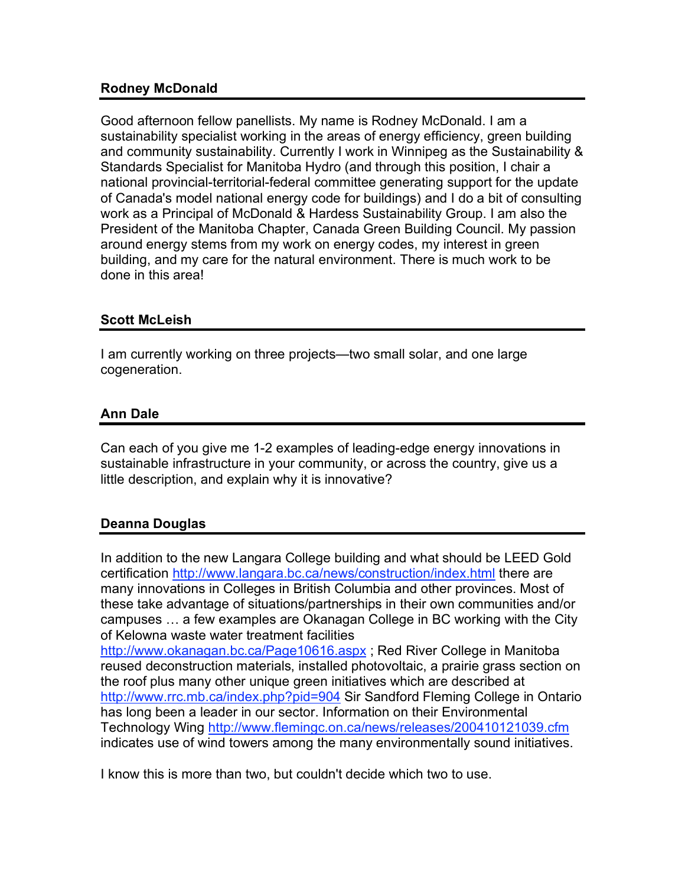## **Rodney McDonald**

Good afternoon fellow panellists. My name is Rodney McDonald. I am a sustainability specialist working in the areas of energy efficiency, green building and community sustainability. Currently I work in Winnipeg as the Sustainability & Standards Specialist for Manitoba Hydro (and through this position, I chair a national provincial-territorial-federal committee generating support for the update of Canada's model national energy code for buildings) and I do a bit of consulting work as a Principal of McDonald & Hardess Sustainability Group. I am also the President of the Manitoba Chapter, Canada Green Building Council. My passion around energy stems from my work on energy codes, my interest in green building, and my care for the natural environment. There is much work to be done in this area!

## **Scott McLeish**

I am currently working on three projects—two small solar, and one large cogeneration.

# **Ann Dale**

Can each of you give me 1-2 examples of leading-edge energy innovations in sustainable infrastructure in your community, or across the country, give us a little description, and explain why it is innovative?

# **Deanna Douglas**

In addition to the new Langara College building and what should be LEED Gold certification http://www.langara.bc.ca/news/construction/index.html there are many innovations in Colleges in British Columbia and other provinces. Most of these take advantage of situations/partnerships in their own communities and/or campuses … a few examples are Okanagan College in BC working with the City of Kelowna waste water treatment facilities

http://www.okanagan.bc.ca/Page10616.aspx; Red River College in Manitoba reused deconstruction materials, installed photovoltaic, a prairie grass section on the roof plus many other unique green initiatives which are described at http://www.rrc.mb.ca/index.php?pid=904 Sir Sandford Fleming College in Ontario has long been a leader in our sector. Information on their Environmental Technology Wing http://www.flemingc.on.ca/news/releases/200410121039.cfm indicates use of wind towers among the many environmentally sound initiatives.

I know this is more than two, but couldn't decide which two to use.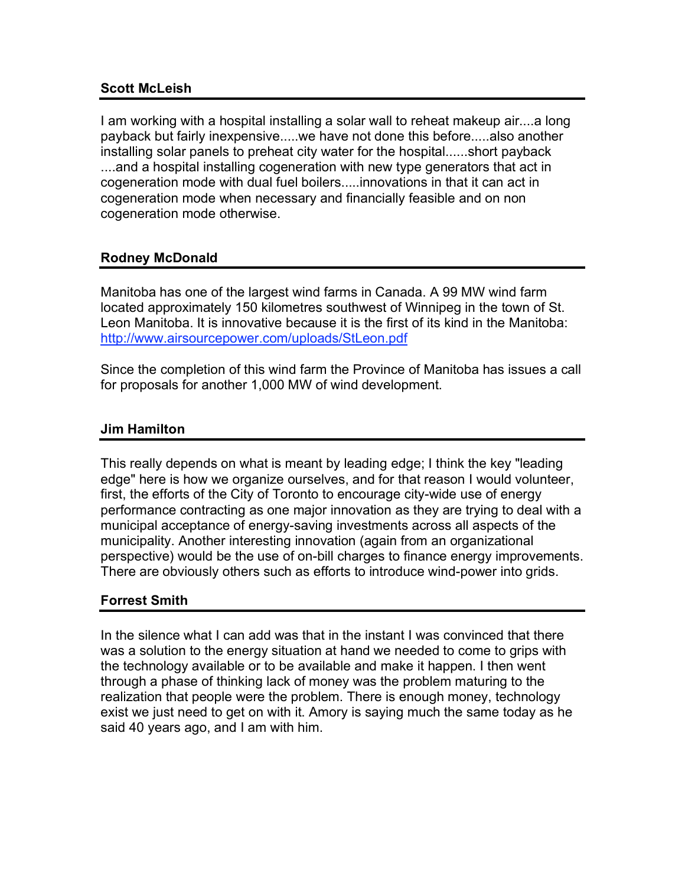## **Scott McLeish**

I am working with a hospital installing a solar wall to reheat makeup air....a long payback but fairly inexpensive.....we have not done this before.....also another installing solar panels to preheat city water for the hospital......short payback ....and a hospital installing cogeneration with new type generators that act in cogeneration mode with dual fuel boilers.....innovations in that it can act in cogeneration mode when necessary and financially feasible and on non cogeneration mode otherwise.

# **Rodney McDonald**

Manitoba has one of the largest wind farms in Canada. A 99 MW wind farm located approximately 150 kilometres southwest of Winnipeg in the town of St. Leon Manitoba. It is innovative because it is the first of its kind in the Manitoba: http://www.airsourcepower.com/uploads/StLeon.pdf

Since the completion of this wind farm the Province of Manitoba has issues a call for proposals for another 1,000 MW of wind development.

# **Jim Hamilton**

This really depends on what is meant by leading edge; I think the key "leading edge" here is how we organize ourselves, and for that reason I would volunteer, first, the efforts of the City of Toronto to encourage city-wide use of energy performance contracting as one major innovation as they are trying to deal with a municipal acceptance of energy-saving investments across all aspects of the municipality. Another interesting innovation (again from an organizational perspective) would be the use of on-bill charges to finance energy improvements. There are obviously others such as efforts to introduce wind-power into grids.

# **Forrest Smith**

In the silence what I can add was that in the instant I was convinced that there was a solution to the energy situation at hand we needed to come to grips with the technology available or to be available and make it happen. I then went through a phase of thinking lack of money was the problem maturing to the realization that people were the problem. There is enough money, technology exist we just need to get on with it. Amory is saying much the same today as he said 40 years ago, and I am with him.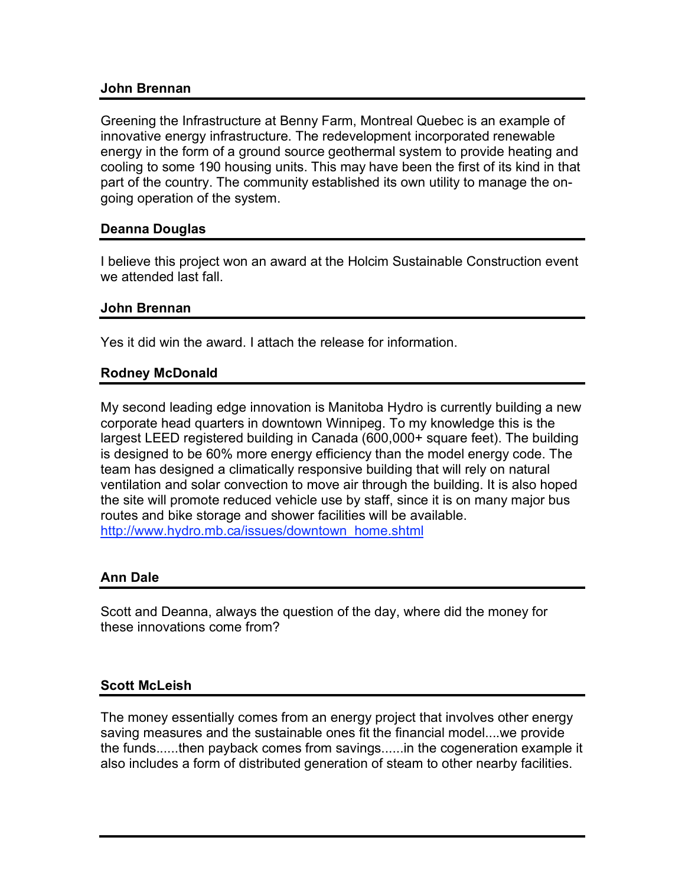#### **John Brennan**

Greening the Infrastructure at Benny Farm, Montreal Quebec is an example of innovative energy infrastructure. The redevelopment incorporated renewable energy in the form of a ground source geothermal system to provide heating and cooling to some 190 housing units. This may have been the first of its kind in that part of the country. The community established its own utility to manage the ongoing operation of the system.

#### **Deanna Douglas**

I believe this project won an award at the Holcim Sustainable Construction event we attended last fall.

#### **John Brennan**

Yes it did win the award. I attach the release for information.

#### **Rodney McDonald**

My second leading edge innovation is Manitoba Hydro is currently building a new corporate head quarters in downtown Winnipeg. To my knowledge this is the largest LEED registered building in Canada (600,000+ square feet). The building is designed to be 60% more energy efficiency than the model energy code. The team has designed a climatically responsive building that will rely on natural ventilation and solar convection to move air through the building. It is also hoped the site will promote reduced vehicle use by staff, since it is on many major bus routes and bike storage and shower facilities will be available. http://www.hydro.mb.ca/issues/downtown\_home.shtml

#### **Ann Dale**

Scott and Deanna, always the question of the day, where did the money for these innovations come from?

#### **Scott McLeish**

The money essentially comes from an energy project that involves other energy saving measures and the sustainable ones fit the financial model....we provide the funds......then payback comes from savings......in the cogeneration example it also includes a form of distributed generation of steam to other nearby facilities.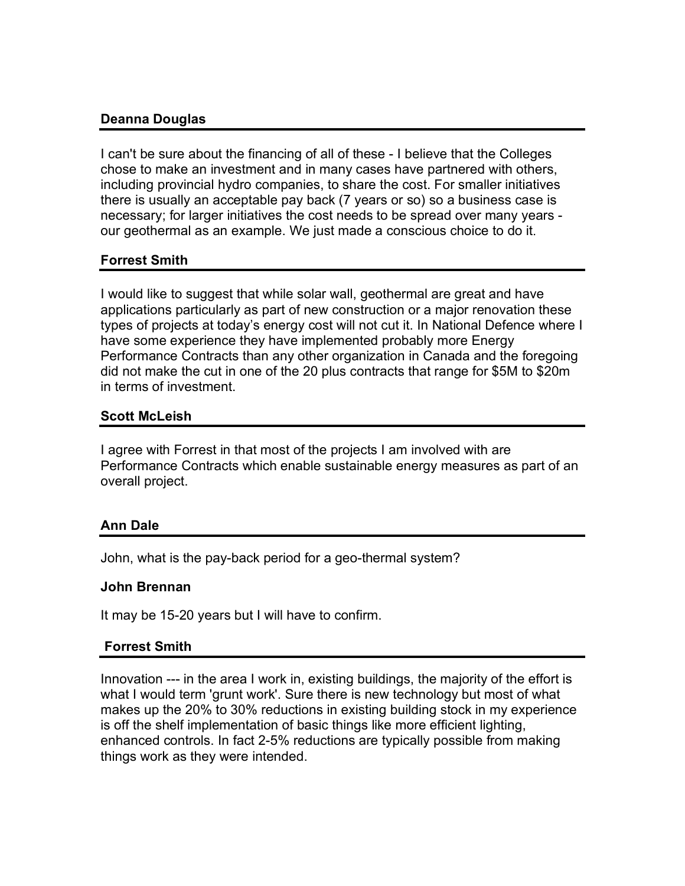# **Deanna Douglas**

I can't be sure about the financing of all of these - I believe that the Colleges chose to make an investment and in many cases have partnered with others, including provincial hydro companies, to share the cost. For smaller initiatives there is usually an acceptable pay back (7 years or so) so a business case is necessary; for larger initiatives the cost needs to be spread over many years our geothermal as an example. We just made a conscious choice to do it.

# **Forrest Smith**

I would like to suggest that while solar wall, geothermal are great and have applications particularly as part of new construction or a major renovation these types of projects at today's energy cost will not cut it. In National Defence where I have some experience they have implemented probably more Energy Performance Contracts than any other organization in Canada and the foregoing did not make the cut in one of the 20 plus contracts that range for \$5M to \$20m in terms of investment.

# **Scott McLeish**

I agree with Forrest in that most of the projects I am involved with are Performance Contracts which enable sustainable energy measures as part of an overall project.

# **Ann Dale**

John, what is the pay-back period for a geo-thermal system?

## **John Brennan**

It may be 15-20 years but I will have to confirm.

## **Forrest Smith**

Innovation --- in the area I work in, existing buildings, the majority of the effort is what I would term 'grunt work'. Sure there is new technology but most of what makes up the 20% to 30% reductions in existing building stock in my experience is off the shelf implementation of basic things like more efficient lighting, enhanced controls. In fact 2-5% reductions are typically possible from making things work as they were intended.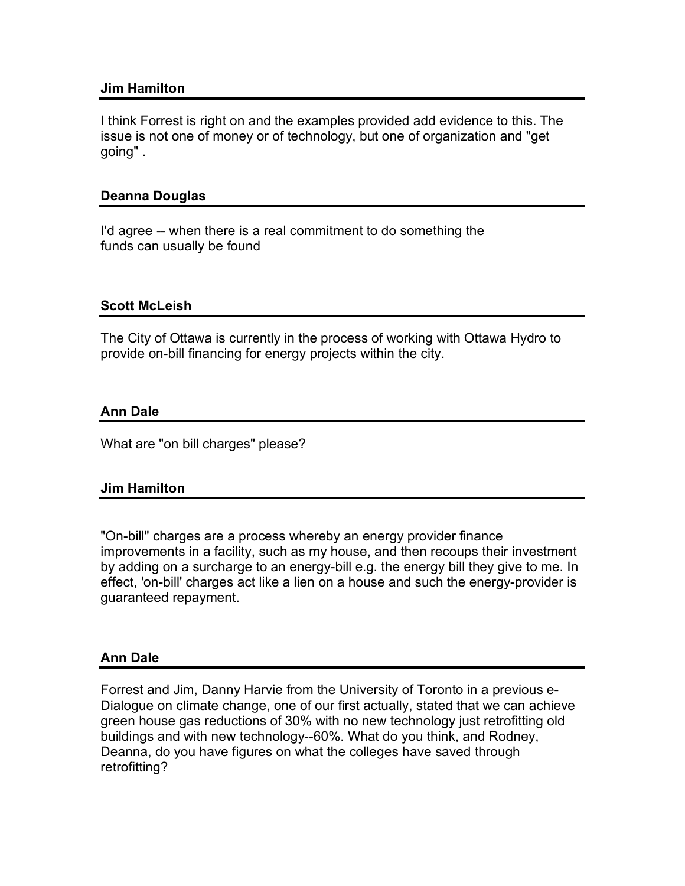## **Jim Hamilton**

I think Forrest is right on and the examples provided add evidence to this. The issue is not one of money or of technology, but one of organization and "get going" .

# **Deanna Douglas**

I'd agree -- when there is a real commitment to do something the funds can usually be found

## **Scott McLeish**

The City of Ottawa is currently in the process of working with Ottawa Hydro to provide on-bill financing for energy projects within the city.

## **Ann Dale**

What are "on bill charges" please?

## **Jim Hamilton**

"On-bill" charges are a process whereby an energy provider finance improvements in a facility, such as my house, and then recoups their investment by adding on a surcharge to an energy-bill e.g. the energy bill they give to me. In effect, 'on-bill' charges act like a lien on a house and such the energy-provider is guaranteed repayment.

## **Ann Dale**

Forrest and Jim, Danny Harvie from the University of Toronto in a previous e-Dialogue on climate change, one of our first actually, stated that we can achieve green house gas reductions of 30% with no new technology just retrofitting old buildings and with new technology--60%. What do you think, and Rodney, Deanna, do you have figures on what the colleges have saved through retrofitting?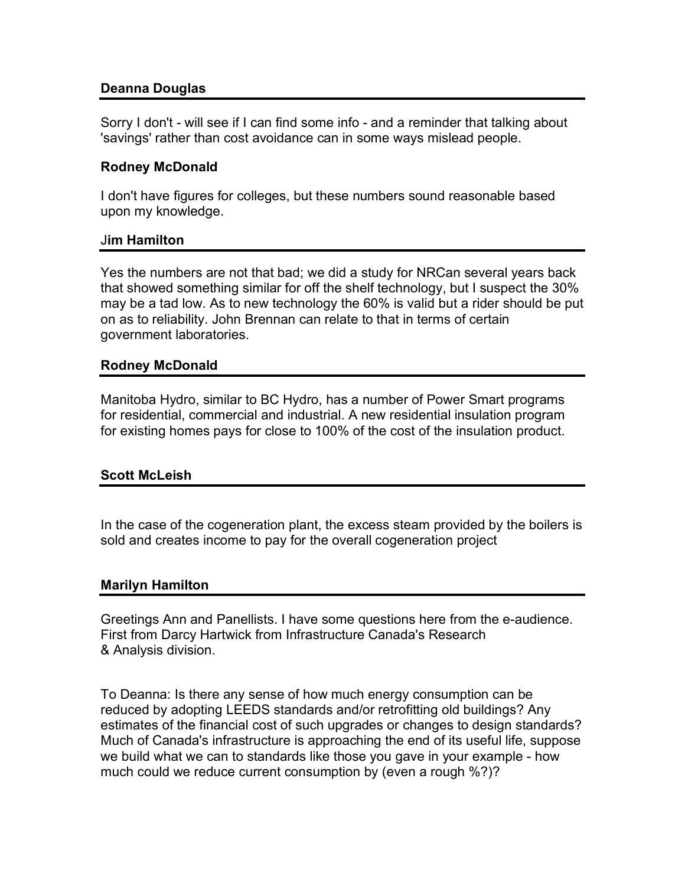## **Deanna Douglas**

Sorry I don't - will see if I can find some info - and a reminder that talking about 'savings' rather than cost avoidance can in some ways mislead people.

#### **Rodney McDonald**

I don't have figures for colleges, but these numbers sound reasonable based upon my knowledge.

#### J**im Hamilton**

Yes the numbers are not that bad; we did a study for NRCan several years back that showed something similar for off the shelf technology, but I suspect the 30% may be a tad low. As to new technology the 60% is valid but a rider should be put on as to reliability. John Brennan can relate to that in terms of certain government laboratories.

#### **Rodney McDonald**

Manitoba Hydro, similar to BC Hydro, has a number of Power Smart programs for residential, commercial and industrial. A new residential insulation program for existing homes pays for close to 100% of the cost of the insulation product.

## **Scott McLeish**

In the case of the cogeneration plant, the excess steam provided by the boilers is sold and creates income to pay for the overall cogeneration project

#### **Marilyn Hamilton**

Greetings Ann and Panellists. I have some questions here from the e-audience. First from Darcy Hartwick from Infrastructure Canada's Research & Analysis division.

To Deanna: Is there any sense of how much energy consumption can be reduced by adopting LEEDS standards and/or retrofitting old buildings? Any estimates of the financial cost of such upgrades or changes to design standards? Much of Canada's infrastructure is approaching the end of its useful life, suppose we build what we can to standards like those you gave in your example - how much could we reduce current consumption by (even a rough %?)?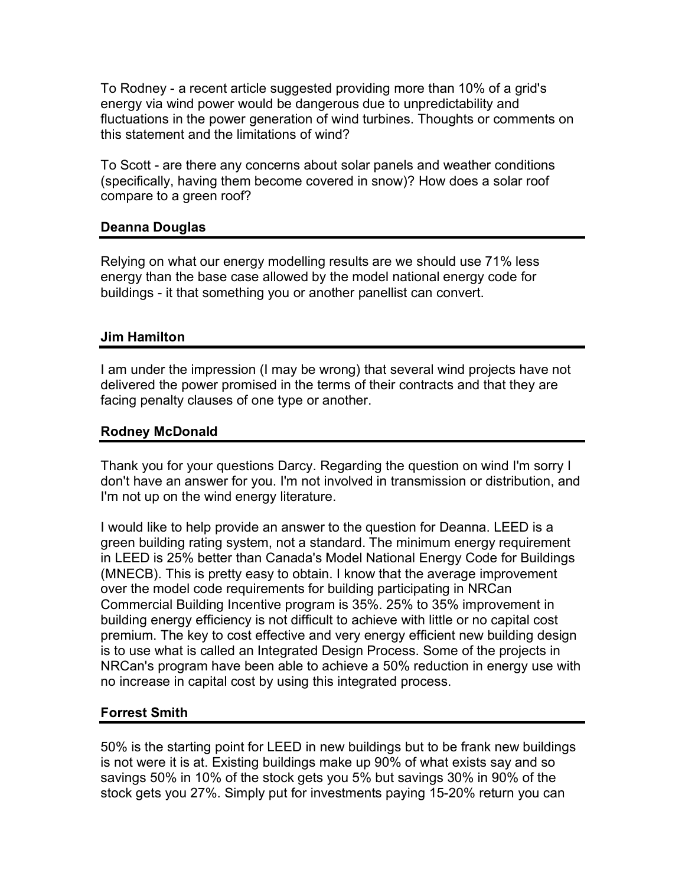To Rodney - a recent article suggested providing more than 10% of a grid's energy via wind power would be dangerous due to unpredictability and fluctuations in the power generation of wind turbines. Thoughts or comments on this statement and the limitations of wind?

To Scott - are there any concerns about solar panels and weather conditions (specifically, having them become covered in snow)? How does a solar roof compare to a green roof?

## **Deanna Douglas**

Relying on what our energy modelling results are we should use 71% less energy than the base case allowed by the model national energy code for buildings - it that something you or another panellist can convert.

## **Jim Hamilton**

I am under the impression (I may be wrong) that several wind projects have not delivered the power promised in the terms of their contracts and that they are facing penalty clauses of one type or another.

## **Rodney McDonald**

Thank you for your questions Darcy. Regarding the question on wind I'm sorry I don't have an answer for you. I'm not involved in transmission or distribution, and I'm not up on the wind energy literature.

I would like to help provide an answer to the question for Deanna. LEED is a green building rating system, not a standard. The minimum energy requirement in LEED is 25% better than Canada's Model National Energy Code for Buildings (MNECB). This is pretty easy to obtain. I know that the average improvement over the model code requirements for building participating in NRCan Commercial Building Incentive program is 35%. 25% to 35% improvement in building energy efficiency is not difficult to achieve with little or no capital cost premium. The key to cost effective and very energy efficient new building design is to use what is called an Integrated Design Process. Some of the projects in NRCan's program have been able to achieve a 50% reduction in energy use with no increase in capital cost by using this integrated process.

## **Forrest Smith**

50% is the starting point for LEED in new buildings but to be frank new buildings is not were it is at. Existing buildings make up 90% of what exists say and so savings 50% in 10% of the stock gets you 5% but savings 30% in 90% of the stock gets you 27%. Simply put for investments paying 15-20% return you can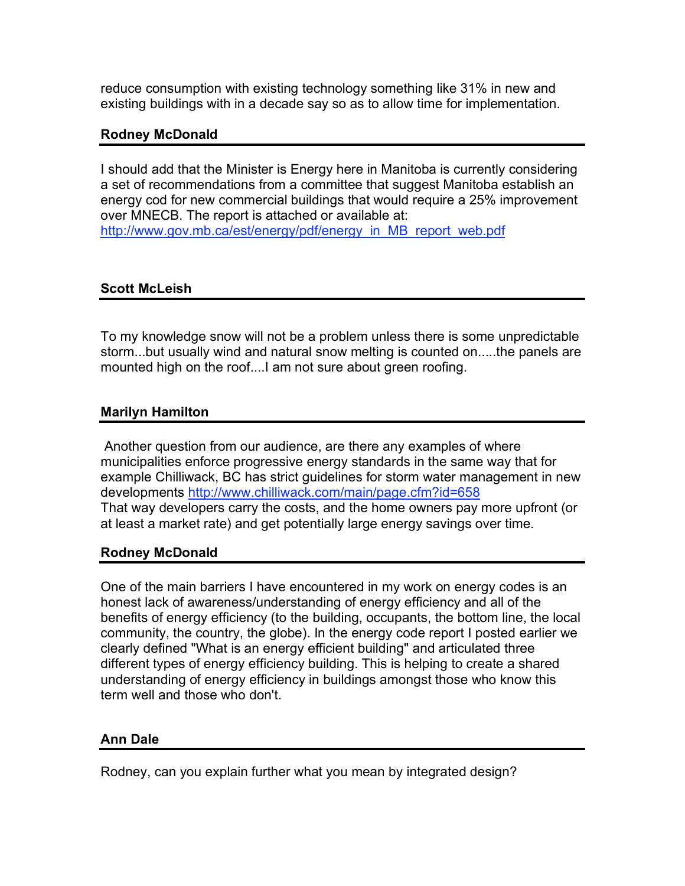reduce consumption with existing technology something like 31% in new and existing buildings with in a decade say so as to allow time for implementation.

#### **Rodney McDonald**

I should add that the Minister is Energy here in Manitoba is currently considering a set of recommendations from a committee that suggest Manitoba establish an energy cod for new commercial buildings that would require a 25% improvement over MNECB. The report is attached or available at: http://www.gov.mb.ca/est/energy/pdf/energy\_in\_MB\_report\_web.pdf

## **Scott McLeish**

To my knowledge snow will not be a problem unless there is some unpredictable storm...but usually wind and natural snow melting is counted on.....the panels are mounted high on the roof....I am not sure about green roofing.

## **Marilyn Hamilton**

Another question from our audience, are there any examples of where municipalities enforce progressive energy standards in the same way that for example Chilliwack, BC has strict guidelines for storm water management in new developments http://www.chilliwack.com/main/page.cfm?id=658 That way developers carry the costs, and the home owners pay more upfront (or at least a market rate) and get potentially large energy savings over time.

## **Rodney McDonald**

One of the main barriers I have encountered in my work on energy codes is an honest lack of awareness/understanding of energy efficiency and all of the benefits of energy efficiency (to the building, occupants, the bottom line, the local community, the country, the globe). In the energy code report I posted earlier we clearly defined "What is an energy efficient building" and articulated three different types of energy efficiency building. This is helping to create a shared understanding of energy efficiency in buildings amongst those who know this term well and those who don't.

## **Ann Dale**

Rodney, can you explain further what you mean by integrated design?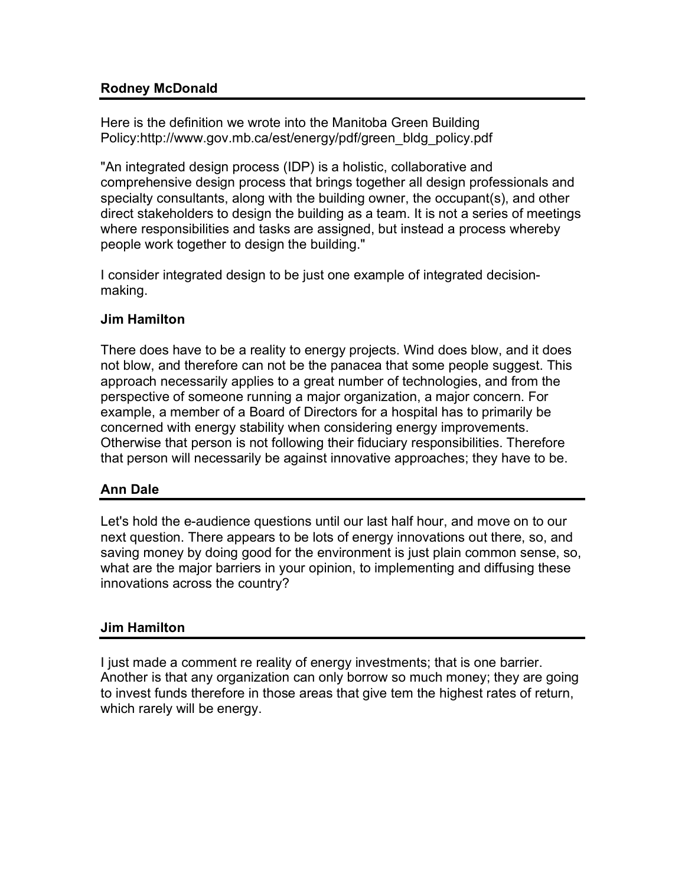# **Rodney McDonald**

Here is the definition we wrote into the Manitoba Green Building Policy:http://www.gov.mb.ca/est/energy/pdf/green\_bldg\_policy.pdf

"An integrated design process (IDP) is a holistic, collaborative and comprehensive design process that brings together all design professionals and specialty consultants, along with the building owner, the occupant(s), and other direct stakeholders to design the building as a team. It is not a series of meetings where responsibilities and tasks are assigned, but instead a process whereby people work together to design the building."

I consider integrated design to be just one example of integrated decisionmaking.

# **Jim Hamilton**

There does have to be a reality to energy projects. Wind does blow, and it does not blow, and therefore can not be the panacea that some people suggest. This approach necessarily applies to a great number of technologies, and from the perspective of someone running a major organization, a major concern. For example, a member of a Board of Directors for a hospital has to primarily be concerned with energy stability when considering energy improvements. Otherwise that person is not following their fiduciary responsibilities. Therefore that person will necessarily be against innovative approaches; they have to be.

# **Ann Dale**

Let's hold the e-audience questions until our last half hour, and move on to our next question. There appears to be lots of energy innovations out there, so, and saving money by doing good for the environment is just plain common sense, so, what are the major barriers in your opinion, to implementing and diffusing these innovations across the country?

# **Jim Hamilton**

I just made a comment re reality of energy investments; that is one barrier. Another is that any organization can only borrow so much money; they are going to invest funds therefore in those areas that give tem the highest rates of return, which rarely will be energy.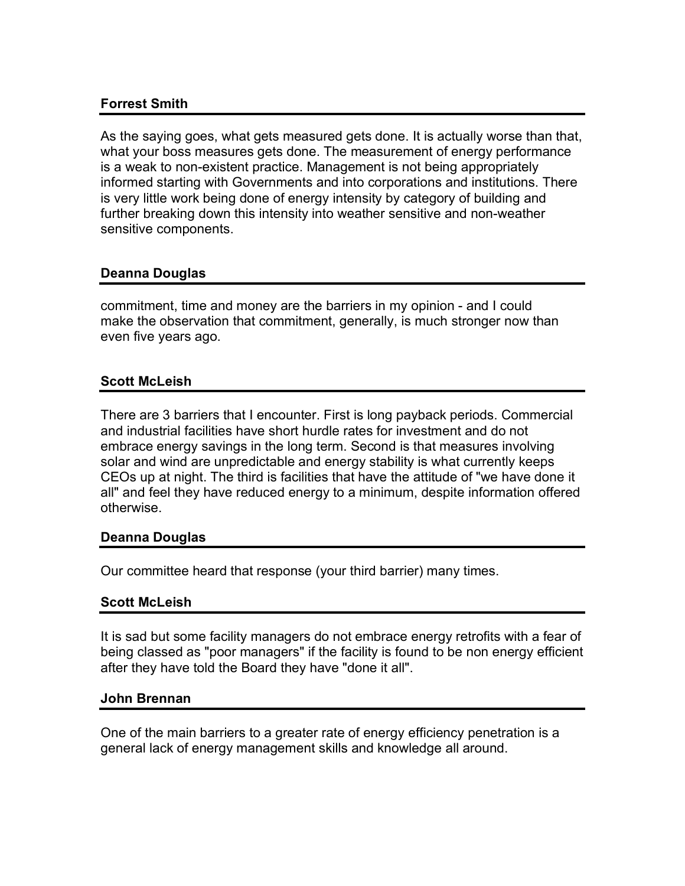# **Forrest Smith**

As the saying goes, what gets measured gets done. It is actually worse than that, what your boss measures gets done. The measurement of energy performance is a weak to non-existent practice. Management is not being appropriately informed starting with Governments and into corporations and institutions. There is very little work being done of energy intensity by category of building and further breaking down this intensity into weather sensitive and non-weather sensitive components.

## **Deanna Douglas**

commitment, time and money are the barriers in my opinion - and I could make the observation that commitment, generally, is much stronger now than even five years ago.

# **Scott McLeish**

There are 3 barriers that I encounter. First is long payback periods. Commercial and industrial facilities have short hurdle rates for investment and do not embrace energy savings in the long term. Second is that measures involving solar and wind are unpredictable and energy stability is what currently keeps CEOs up at night. The third is facilities that have the attitude of "we have done it all" and feel they have reduced energy to a minimum, despite information offered otherwise.

## **Deanna Douglas**

Our committee heard that response (your third barrier) many times.

## **Scott McLeish**

It is sad but some facility managers do not embrace energy retrofits with a fear of being classed as "poor managers" if the facility is found to be non energy efficient after they have told the Board they have "done it all".

#### **John Brennan**

One of the main barriers to a greater rate of energy efficiency penetration is a general lack of energy management skills and knowledge all around.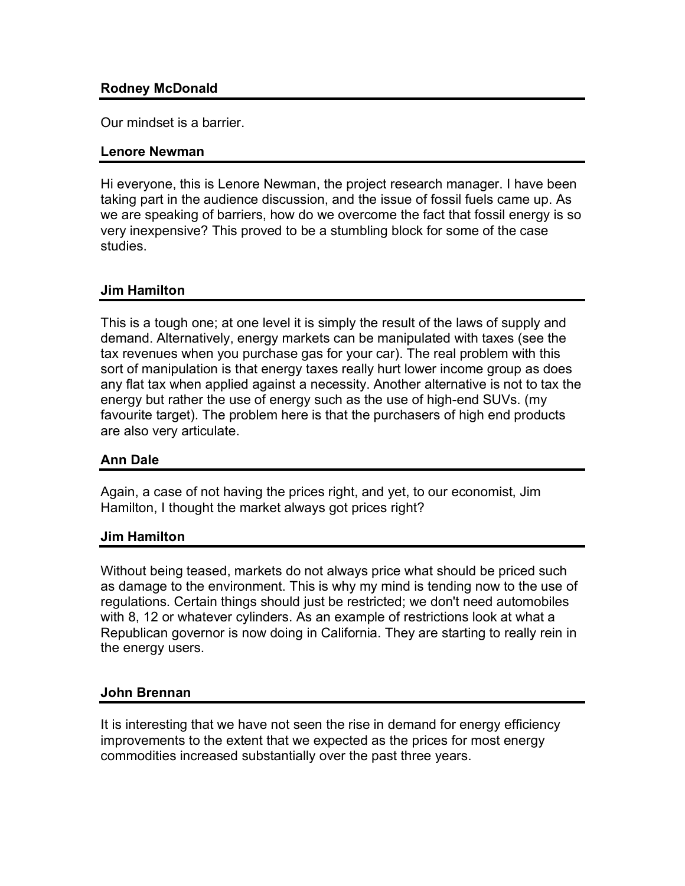## **Rodney McDonald**

Our mindset is a barrier.

#### **Lenore Newman**

Hi everyone, this is Lenore Newman, the project research manager. I have been taking part in the audience discussion, and the issue of fossil fuels came up. As we are speaking of barriers, how do we overcome the fact that fossil energy is so very inexpensive? This proved to be a stumbling block for some of the case studies.

## **Jim Hamilton**

This is a tough one; at one level it is simply the result of the laws of supply and demand. Alternatively, energy markets can be manipulated with taxes (see the tax revenues when you purchase gas for your car). The real problem with this sort of manipulation is that energy taxes really hurt lower income group as does any flat tax when applied against a necessity. Another alternative is not to tax the energy but rather the use of energy such as the use of high-end SUVs. (my favourite target). The problem here is that the purchasers of high end products are also very articulate.

## **Ann Dale**

Again, a case of not having the prices right, and yet, to our economist, Jim Hamilton, I thought the market always got prices right?

## **Jim Hamilton**

Without being teased, markets do not always price what should be priced such as damage to the environment. This is why my mind is tending now to the use of regulations. Certain things should just be restricted; we don't need automobiles with 8, 12 or whatever cylinders. As an example of restrictions look at what a Republican governor is now doing in California. They are starting to really rein in the energy users.

## **John Brennan**

It is interesting that we have not seen the rise in demand for energy efficiency improvements to the extent that we expected as the prices for most energy commodities increased substantially over the past three years.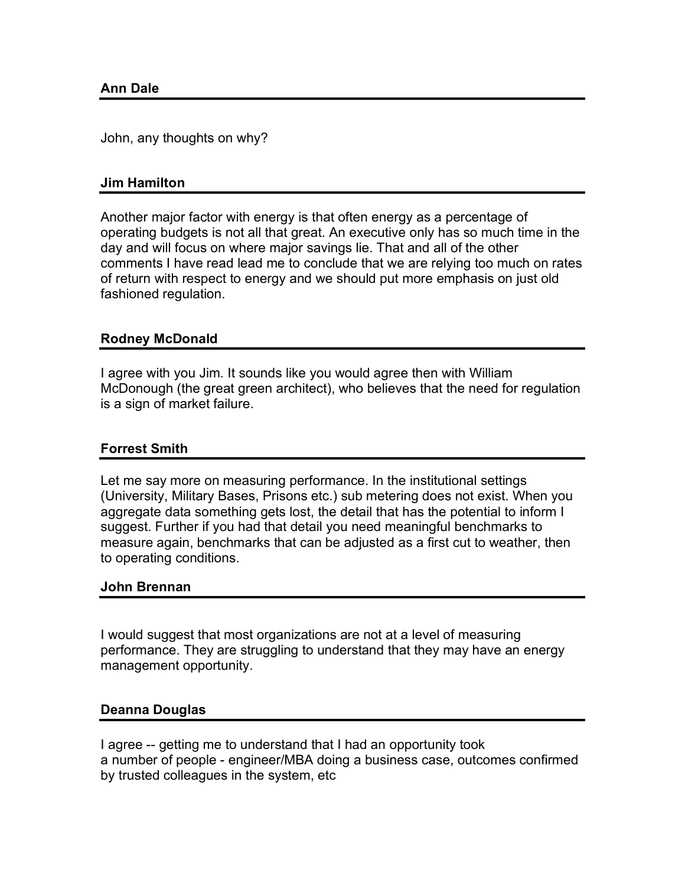John, any thoughts on why?

#### **Jim Hamilton**

Another major factor with energy is that often energy as a percentage of operating budgets is not all that great. An executive only has so much time in the day and will focus on where major savings lie. That and all of the other comments I have read lead me to conclude that we are relying too much on rates of return with respect to energy and we should put more emphasis on just old fashioned regulation.

#### **Rodney McDonald**

I agree with you Jim. It sounds like you would agree then with William McDonough (the great green architect), who believes that the need for regulation is a sign of market failure.

## **Forrest Smith**

Let me say more on measuring performance. In the institutional settings (University, Military Bases, Prisons etc.) sub metering does not exist. When you aggregate data something gets lost, the detail that has the potential to inform I suggest. Further if you had that detail you need meaningful benchmarks to measure again, benchmarks that can be adjusted as a first cut to weather, then to operating conditions.

#### **John Brennan**

I would suggest that most organizations are not at a level of measuring performance. They are struggling to understand that they may have an energy management opportunity.

#### **Deanna Douglas**

I agree -- getting me to understand that I had an opportunity took a number of people - engineer/MBA doing a business case, outcomes confirmed by trusted colleagues in the system, etc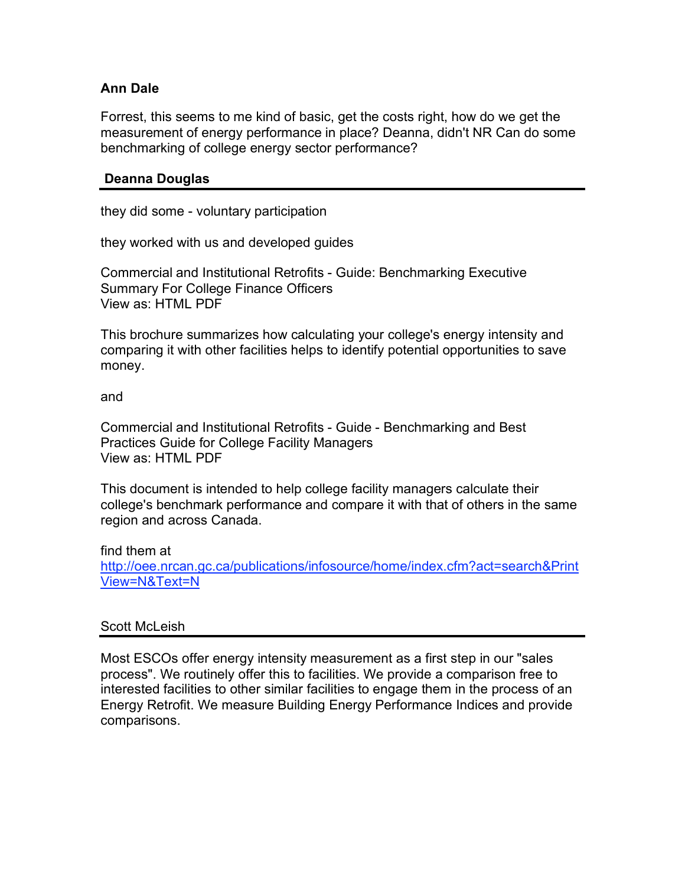## **Ann Dale**

Forrest, this seems to me kind of basic, get the costs right, how do we get the measurement of energy performance in place? Deanna, didn't NR Can do some benchmarking of college energy sector performance?

#### **Deanna Douglas**

they did some - voluntary participation

they worked with us and developed guides

Commercial and Institutional Retrofits - Guide: Benchmarking Executive Summary For College Finance Officers View as: HTML PDF

This brochure summarizes how calculating your college's energy intensity and comparing it with other facilities helps to identify potential opportunities to save money.

and

Commercial and Institutional Retrofits - Guide - Benchmarking and Best Practices Guide for College Facility Managers View as: HTML PDF

This document is intended to help college facility managers calculate their college's benchmark performance and compare it with that of others in the same region and across Canada.

find them at http://oee.nrcan.gc.ca/publications/infosource/home/index.cfm?act=search&Print View=N&Text=N

#### Scott McLeish

Most ESCOs offer energy intensity measurement as a first step in our "sales process". We routinely offer this to facilities. We provide a comparison free to interested facilities to other similar facilities to engage them in the process of an Energy Retrofit. We measure Building Energy Performance Indices and provide comparisons.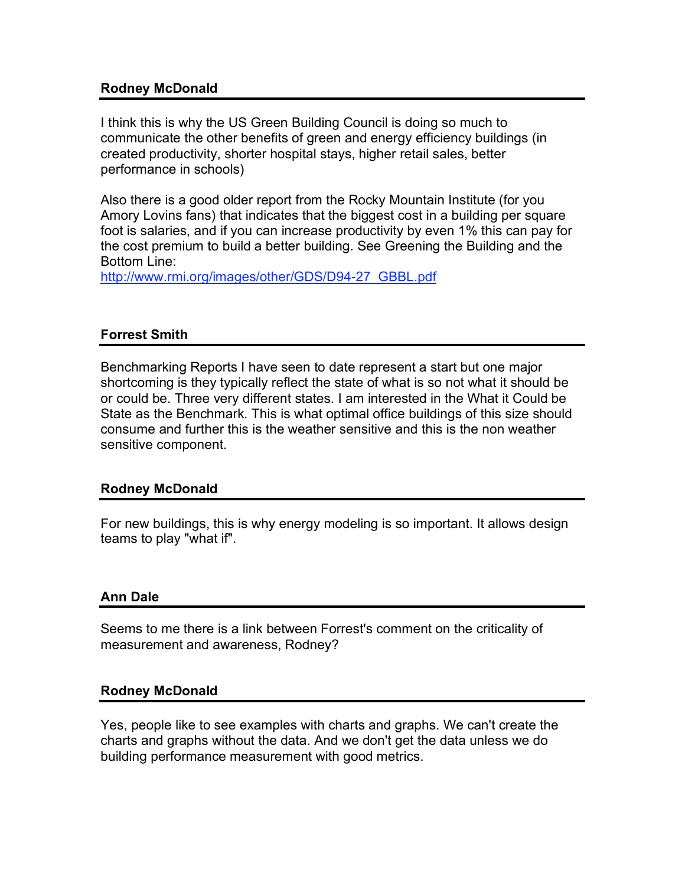## **Rodney McDonald**

I think this is why the US Green Building Council is doing so much to communicate the other benefits of green and energy efficiency buildings (in created productivity, shorter hospital stays, higher retail sales, better performance in schools)

Also there is a good older report from the Rocky Mountain Institute (for you Amory Lovins fans) that indicates that the biggest cost in a building per square foot is salaries, and if you can increase productivity by even 1% this can pay for the cost premium to build a better building. See Greening the Building and the Bottom Line:

http://www.rmi.org/images/other/GDS/D94-27\_GBBL.pdf

#### **Forrest Smith**

Benchmarking Reports I have seen to date represent a start but one major shortcoming is they typically reflect the state of what is so not what it should be or could be. Three very different states. I am interested in the What it Could be State as the Benchmark. This is what optimal office buildings of this size should consume and further this is the weather sensitive and this is the non weather sensitive component.

#### **Rodney McDonald**

For new buildings, this is why energy modeling is so important. It allows design teams to play "what if".

#### **Ann Dale**

Seems to me there is a link between Forrest's comment on the criticality of measurement and awareness, Rodney?

#### **Rodney McDonald**

Yes, people like to see examples with charts and graphs. We can't create the charts and graphs without the data. And we don't get the data unless we do building performance measurement with good metrics.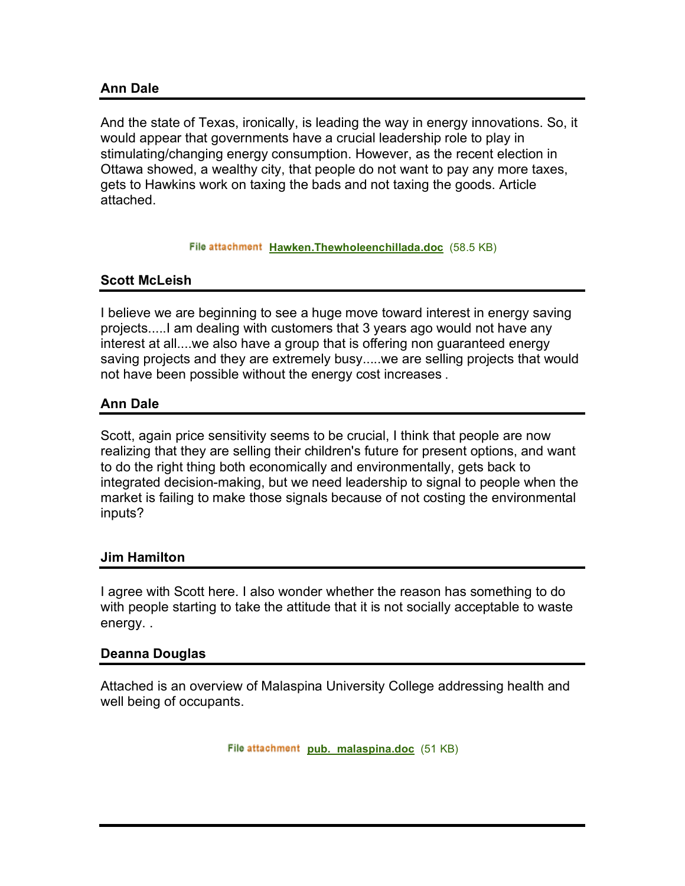## **Ann Dale**

And the state of Texas, ironically, is leading the way in energy innovations. So, it would appear that governments have a crucial leadership role to play in stimulating/changing energy consumption. However, as the recent election in Ottawa showed, a wealthy city, that people do not want to pay any more taxes, gets to Hawkins work on taxing the bads and not taxing the goods. Article attached.

#### File attachment Hawken.Thewholeenchillada.doc (58.5 KB)

## **Scott McLeish**

I believe we are beginning to see a huge move toward interest in energy saving projects.....I am dealing with customers that 3 years ago would not have any interest at all....we also have a group that is offering non guaranteed energy saving projects and they are extremely busy.....we are selling projects that would not have been possible without the energy cost increases .

## **Ann Dale**

Scott, again price sensitivity seems to be crucial, I think that people are now realizing that they are selling their children's future for present options, and want to do the right thing both economically and environmentally, gets back to integrated decision-making, but we need leadership to signal to people when the market is failing to make those signals because of not costing the environmental inputs?

#### **Jim Hamilton**

I agree with Scott here. I also wonder whether the reason has something to do with people starting to take the attitude that it is not socially acceptable to waste energy. .

#### **Deanna Douglas**

Attached is an overview of Malaspina University College addressing health and well being of occupants.

File attachment pub. malaspina.doc (51 KB)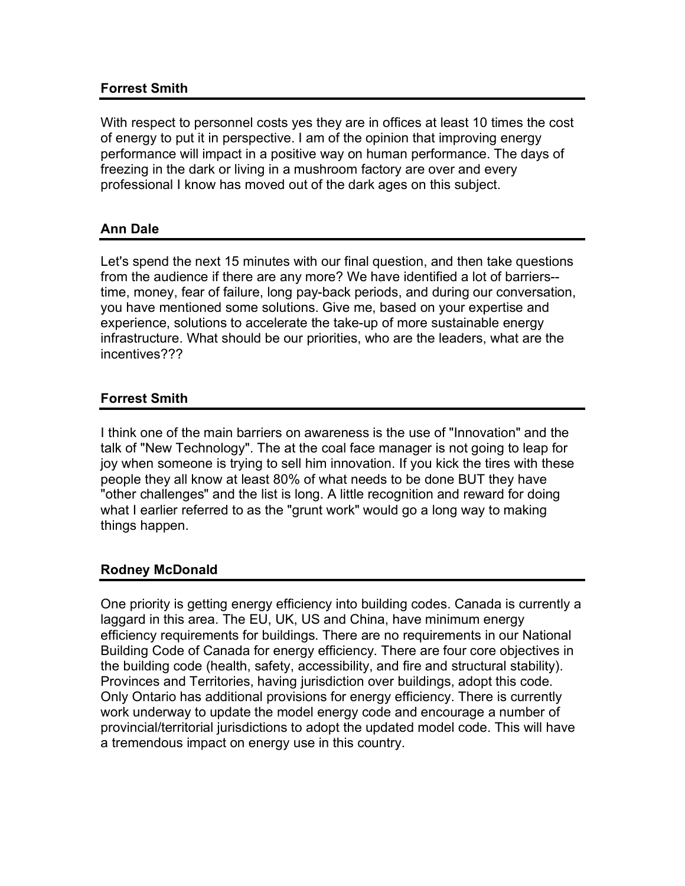## **Forrest Smith**

With respect to personnel costs yes they are in offices at least 10 times the cost of energy to put it in perspective. I am of the opinion that improving energy performance will impact in a positive way on human performance. The days of freezing in the dark or living in a mushroom factory are over and every professional I know has moved out of the dark ages on this subject.

# **Ann Dale**

Let's spend the next 15 minutes with our final question, and then take questions from the audience if there are any more? We have identified a lot of barriers- time, money, fear of failure, long pay-back periods, and during our conversation, you have mentioned some solutions. Give me, based on your expertise and experience, solutions to accelerate the take-up of more sustainable energy infrastructure. What should be our priorities, who are the leaders, what are the incentives???

# **Forrest Smith**

I think one of the main barriers on awareness is the use of "Innovation" and the talk of "New Technology". The at the coal face manager is not going to leap for joy when someone is trying to sell him innovation. If you kick the tires with these people they all know at least 80% of what needs to be done BUT they have "other challenges" and the list is long. A little recognition and reward for doing what I earlier referred to as the "grunt work" would go a long way to making things happen.

## **Rodney McDonald**

One priority is getting energy efficiency into building codes. Canada is currently a laggard in this area. The EU, UK, US and China, have minimum energy efficiency requirements for buildings. There are no requirements in our National Building Code of Canada for energy efficiency. There are four core objectives in the building code (health, safety, accessibility, and fire and structural stability). Provinces and Territories, having jurisdiction over buildings, adopt this code. Only Ontario has additional provisions for energy efficiency. There is currently work underway to update the model energy code and encourage a number of provincial/territorial jurisdictions to adopt the updated model code. This will have a tremendous impact on energy use in this country.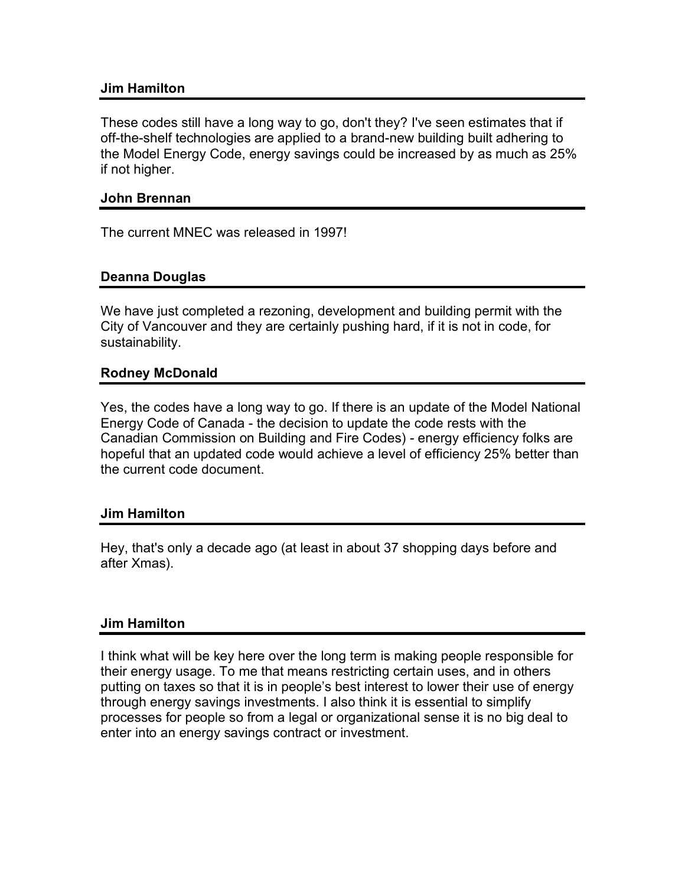#### **Jim Hamilton**

These codes still have a long way to go, don't they? I've seen estimates that if off-the-shelf technologies are applied to a brand-new building built adhering to the Model Energy Code, energy savings could be increased by as much as 25% if not higher.

#### **John Brennan**

The current MNEC was released in 1997!

## **Deanna Douglas**

We have just completed a rezoning, development and building permit with the City of Vancouver and they are certainly pushing hard, if it is not in code, for sustainability.

#### **Rodney McDonald**

Yes, the codes have a long way to go. If there is an update of the Model National Energy Code of Canada - the decision to update the code rests with the Canadian Commission on Building and Fire Codes) - energy efficiency folks are hopeful that an updated code would achieve a level of efficiency 25% better than the current code document.

#### **Jim Hamilton**

Hey, that's only a decade ago (at least in about 37 shopping days before and after Xmas).

#### **Jim Hamilton**

I think what will be key here over the long term is making people responsible for their energy usage. To me that means restricting certain uses, and in others putting on taxes so that it is in people's best interest to lower their use of energy through energy savings investments. I also think it is essential to simplify processes for people so from a legal or organizational sense it is no big deal to enter into an energy savings contract or investment.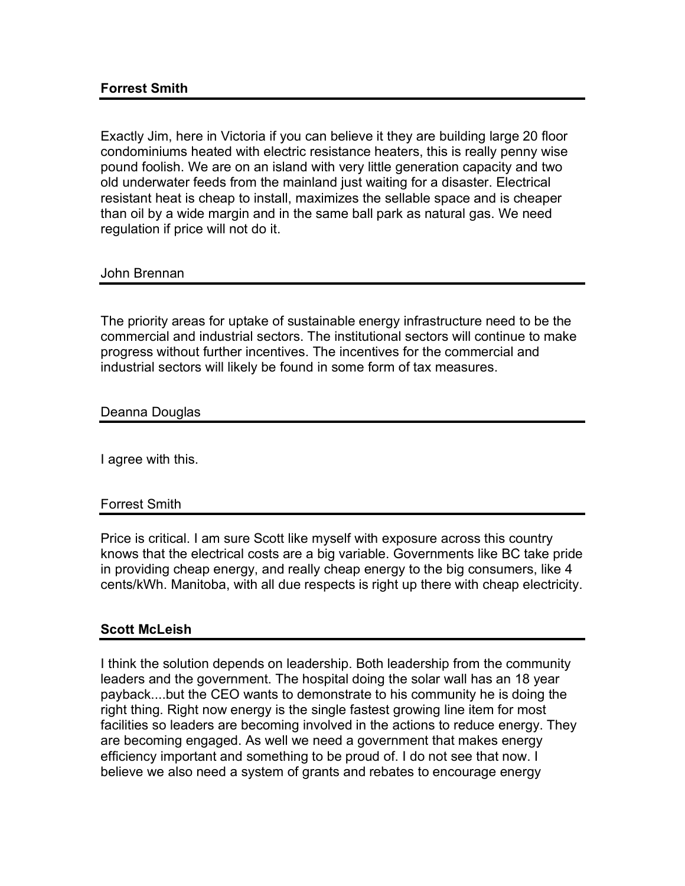Exactly Jim, here in Victoria if you can believe it they are building large 20 floor condominiums heated with electric resistance heaters, this is really penny wise pound foolish. We are on an island with very little generation capacity and two old underwater feeds from the mainland just waiting for a disaster. Electrical resistant heat is cheap to install, maximizes the sellable space and is cheaper than oil by a wide margin and in the same ball park as natural gas. We need regulation if price will not do it.

#### John Brennan

The priority areas for uptake of sustainable energy infrastructure need to be the commercial and industrial sectors. The institutional sectors will continue to make progress without further incentives. The incentives for the commercial and industrial sectors will likely be found in some form of tax measures.

#### Deanna Douglas

I agree with this.

#### Forrest Smith

Price is critical. I am sure Scott like myself with exposure across this country knows that the electrical costs are a big variable. Governments like BC take pride in providing cheap energy, and really cheap energy to the big consumers, like 4 cents/kWh. Manitoba, with all due respects is right up there with cheap electricity.

## **Scott McLeish**

I think the solution depends on leadership. Both leadership from the community leaders and the government. The hospital doing the solar wall has an 18 year payback....but the CEO wants to demonstrate to his community he is doing the right thing. Right now energy is the single fastest growing line item for most facilities so leaders are becoming involved in the actions to reduce energy. They are becoming engaged. As well we need a government that makes energy efficiency important and something to be proud of. I do not see that now. I believe we also need a system of grants and rebates to encourage energy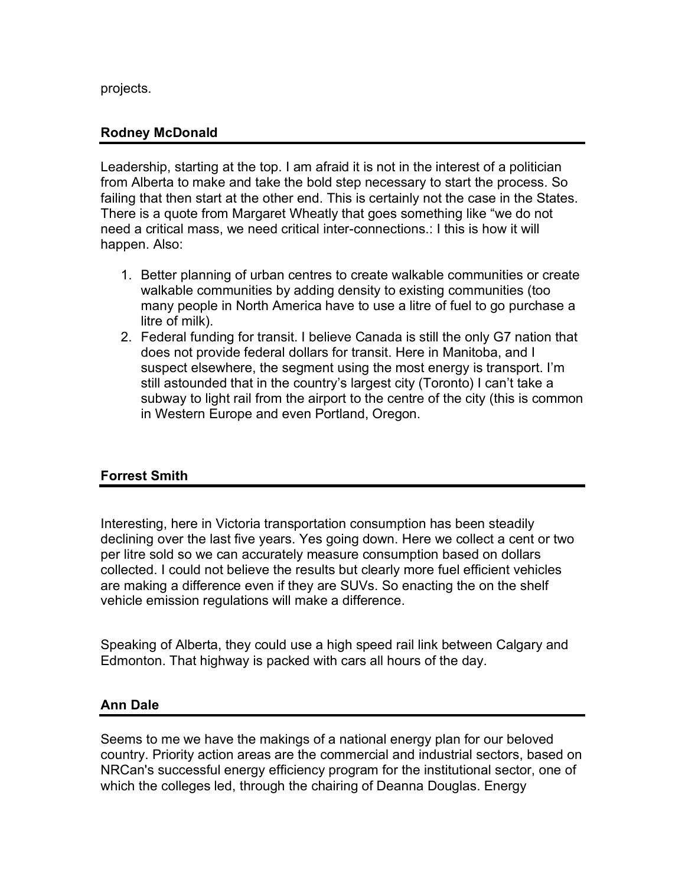projects.

## **Rodney McDonald**

Leadership, starting at the top. I am afraid it is not in the interest of a politician from Alberta to make and take the bold step necessary to start the process. So failing that then start at the other end. This is certainly not the case in the States. There is a quote from Margaret Wheatly that goes something like "we do not need a critical mass, we need critical inter-connections.: I this is how it will happen. Also:

- 1. Better planning of urban centres to create walkable communities or create walkable communities by adding density to existing communities (too many people in North America have to use a litre of fuel to go purchase a litre of milk).
- 2. Federal funding for transit. I believe Canada is still the only G7 nation that does not provide federal dollars for transit. Here in Manitoba, and I suspect elsewhere, the segment using the most energy is transport. I'm still astounded that in the country's largest city (Toronto) I can't take a subway to light rail from the airport to the centre of the city (this is common in Western Europe and even Portland, Oregon.

# **Forrest Smith**

Interesting, here in Victoria transportation consumption has been steadily declining over the last five years. Yes going down. Here we collect a cent or two per litre sold so we can accurately measure consumption based on dollars collected. I could not believe the results but clearly more fuel efficient vehicles are making a difference even if they are SUVs. So enacting the on the shelf vehicle emission regulations will make a difference.

Speaking of Alberta, they could use a high speed rail link between Calgary and Edmonton. That highway is packed with cars all hours of the day.

## **Ann Dale**

Seems to me we have the makings of a national energy plan for our beloved country. Priority action areas are the commercial and industrial sectors, based on NRCan's successful energy efficiency program for the institutional sector, one of which the colleges led, through the chairing of Deanna Douglas. Energy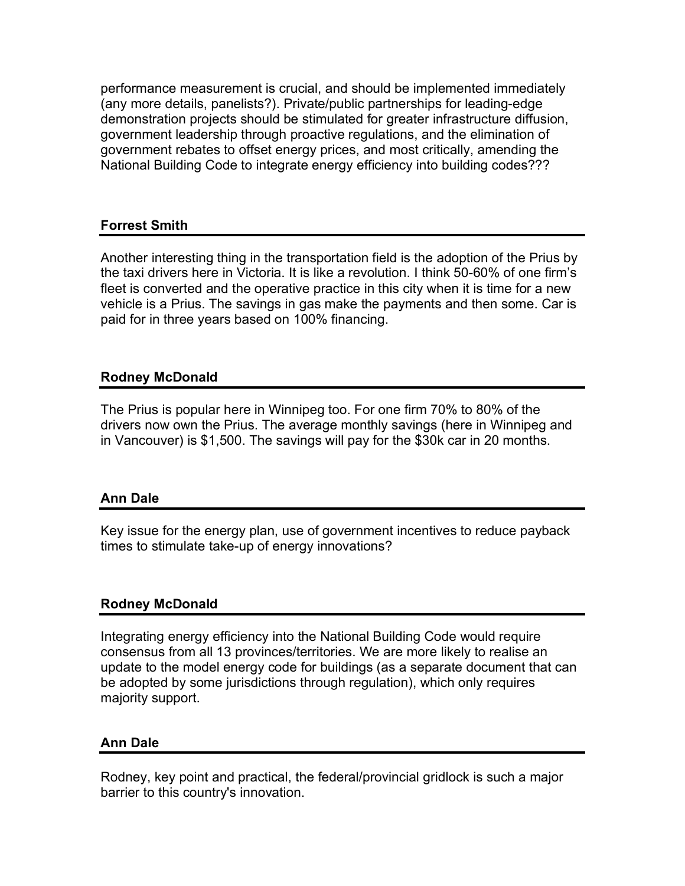performance measurement is crucial, and should be implemented immediately (any more details, panelists?). Private/public partnerships for leading-edge demonstration projects should be stimulated for greater infrastructure diffusion, government leadership through proactive regulations, and the elimination of government rebates to offset energy prices, and most critically, amending the National Building Code to integrate energy efficiency into building codes???

## **Forrest Smith**

Another interesting thing in the transportation field is the adoption of the Prius by the taxi drivers here in Victoria. It is like a revolution. I think 50-60% of one firm's fleet is converted and the operative practice in this city when it is time for a new vehicle is a Prius. The savings in gas make the payments and then some. Car is paid for in three years based on 100% financing.

# **Rodney McDonald**

The Prius is popular here in Winnipeg too. For one firm 70% to 80% of the drivers now own the Prius. The average monthly savings (here in Winnipeg and in Vancouver) is \$1,500. The savings will pay for the \$30k car in 20 months.

## **Ann Dale**

Key issue for the energy plan, use of government incentives to reduce payback times to stimulate take-up of energy innovations?

## **Rodney McDonald**

Integrating energy efficiency into the National Building Code would require consensus from all 13 provinces/territories. We are more likely to realise an update to the model energy code for buildings (as a separate document that can be adopted by some jurisdictions through regulation), which only requires majority support.

## **Ann Dale**

Rodney, key point and practical, the federal/provincial gridlock is such a major barrier to this country's innovation.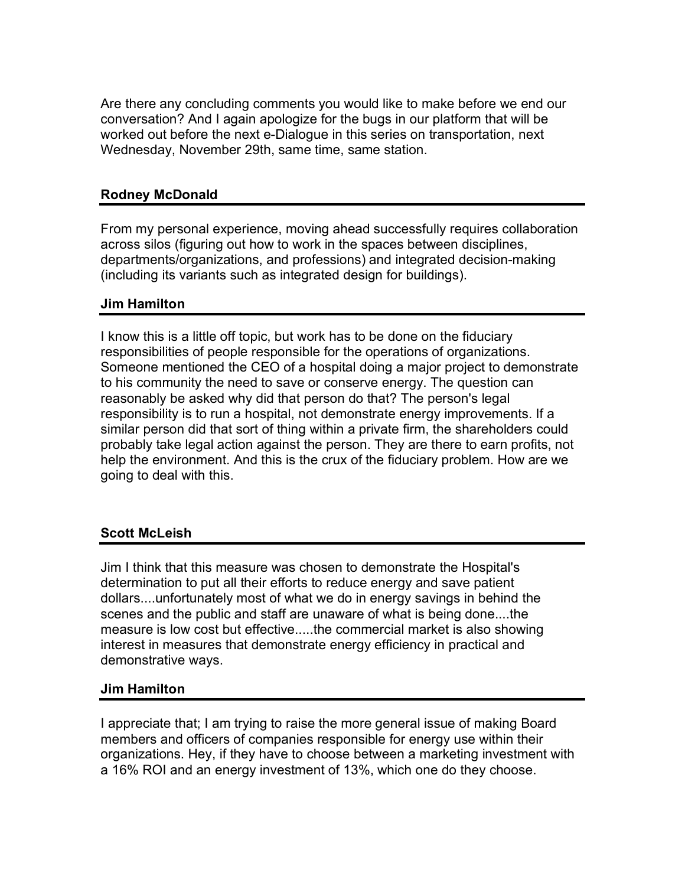Are there any concluding comments you would like to make before we end our conversation? And I again apologize for the bugs in our platform that will be worked out before the next e-Dialogue in this series on transportation, next Wednesday, November 29th, same time, same station.

# **Rodney McDonald**

From my personal experience, moving ahead successfully requires collaboration across silos (figuring out how to work in the spaces between disciplines, departments/organizations, and professions) and integrated decision-making (including its variants such as integrated design for buildings).

# **Jim Hamilton**

I know this is a little off topic, but work has to be done on the fiduciary responsibilities of people responsible for the operations of organizations. Someone mentioned the CEO of a hospital doing a major project to demonstrate to his community the need to save or conserve energy. The question can reasonably be asked why did that person do that? The person's legal responsibility is to run a hospital, not demonstrate energy improvements. If a similar person did that sort of thing within a private firm, the shareholders could probably take legal action against the person. They are there to earn profits, not help the environment. And this is the crux of the fiduciary problem. How are we going to deal with this.

# **Scott McLeish**

Jim I think that this measure was chosen to demonstrate the Hospital's determination to put all their efforts to reduce energy and save patient dollars....unfortunately most of what we do in energy savings in behind the scenes and the public and staff are unaware of what is being done....the measure is low cost but effective.....the commercial market is also showing interest in measures that demonstrate energy efficiency in practical and demonstrative ways.

## **Jim Hamilton**

I appreciate that; I am trying to raise the more general issue of making Board members and officers of companies responsible for energy use within their organizations. Hey, if they have to choose between a marketing investment with a 16% ROI and an energy investment of 13%, which one do they choose.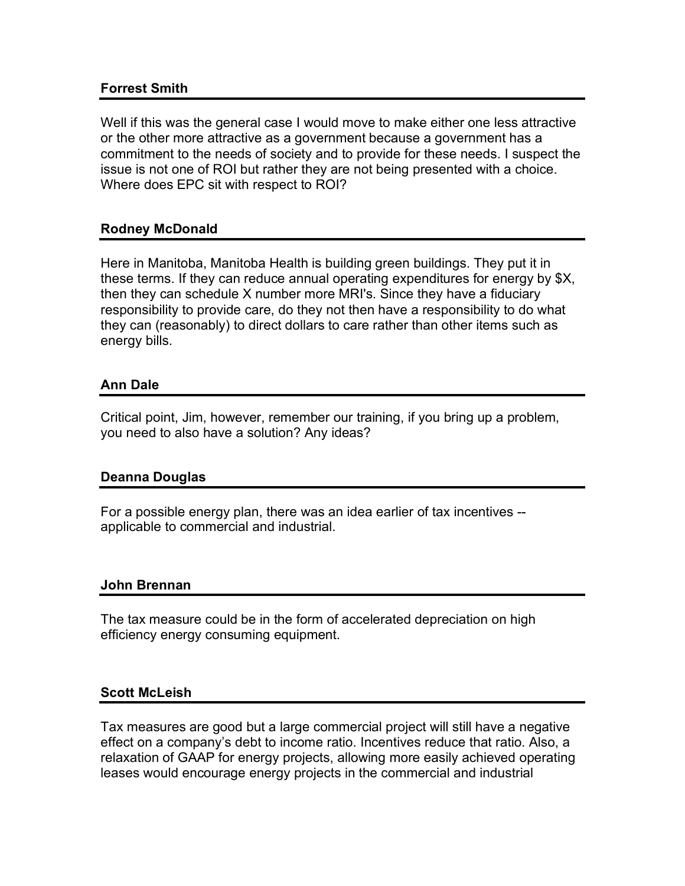## **Forrest Smith**

Well if this was the general case I would move to make either one less attractive or the other more attractive as a government because a government has a commitment to the needs of society and to provide for these needs. I suspect the issue is not one of ROI but rather they are not being presented with a choice. Where does EPC sit with respect to ROI?

#### **Rodney McDonald**

Here in Manitoba, Manitoba Health is building green buildings. They put it in these terms. If they can reduce annual operating expenditures for energy by \$X, then they can schedule X number more MRI's. Since they have a fiduciary responsibility to provide care, do they not then have a responsibility to do what they can (reasonably) to direct dollars to care rather than other items such as energy bills.

#### **Ann Dale**

Critical point, Jim, however, remember our training, if you bring up a problem, you need to also have a solution? Any ideas?

#### **Deanna Douglas**

For a possible energy plan, there was an idea earlier of tax incentives - applicable to commercial and industrial.

#### **John Brennan**

The tax measure could be in the form of accelerated depreciation on high efficiency energy consuming equipment.

#### **Scott McLeish**

Tax measures are good but a large commercial project will still have a negative effect on a company's debt to income ratio. Incentives reduce that ratio. Also, a relaxation of GAAP for energy projects, allowing more easily achieved operating leases would encourage energy projects in the commercial and industrial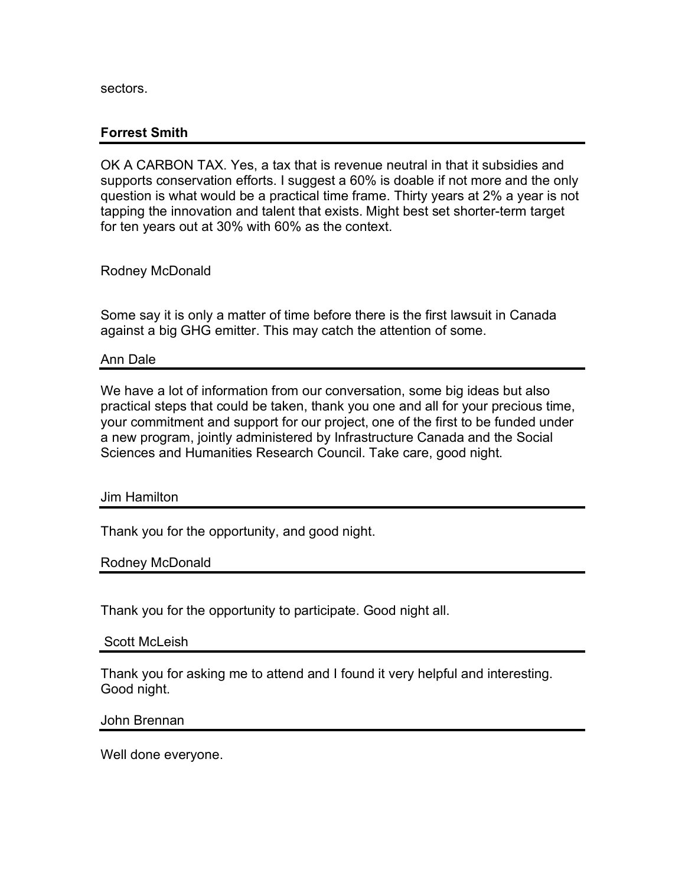sectors.

## **Forrest Smith**

OK A CARBON TAX. Yes, a tax that is revenue neutral in that it subsidies and supports conservation efforts. I suggest a 60% is doable if not more and the only question is what would be a practical time frame. Thirty years at 2% a year is not tapping the innovation and talent that exists. Might best set shorter-term target for ten years out at 30% with 60% as the context.

Rodney McDonald

Some say it is only a matter of time before there is the first lawsuit in Canada against a big GHG emitter. This may catch the attention of some.

#### Ann Dale

We have a lot of information from our conversation, some big ideas but also practical steps that could be taken, thank you one and all for your precious time, your commitment and support for our project, one of the first to be funded under a new program, jointly administered by Infrastructure Canada and the Social Sciences and Humanities Research Council. Take care, good night.

Jim Hamilton

Thank you for the opportunity, and good night.

Rodney McDonald

Thank you for the opportunity to participate. Good night all.

Scott McLeish

Thank you for asking me to attend and I found it very helpful and interesting. Good night.

John Brennan

Well done everyone.